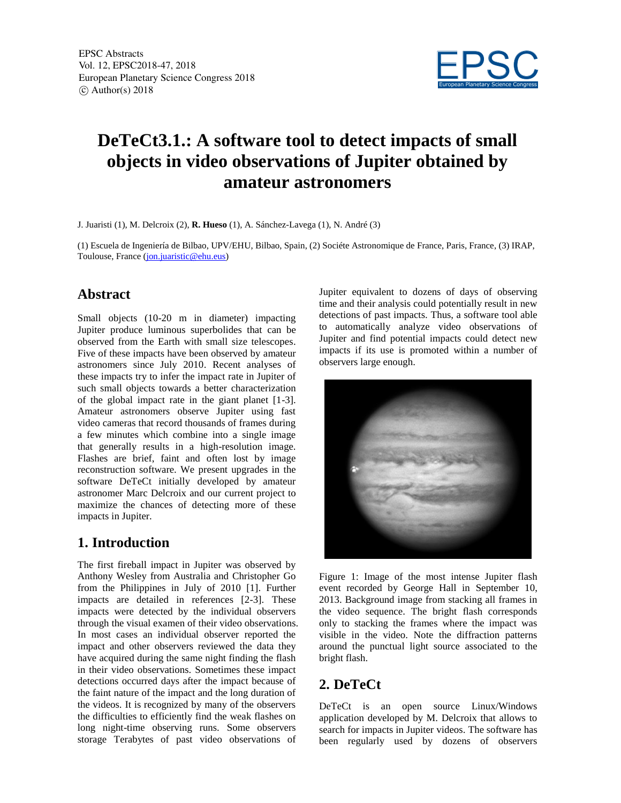

# **DeTeCt3.1.: A software tool to detect impacts of small objects in video observations of Jupiter obtained by amateur astronomers**

J. Juaristi (1), M. Delcroix (2), **R. Hueso** (1), A. Sánchez-Lavega (1), N. André (3)

(1) Escuela de Ingeniería de Bilbao, UPV/EHU, Bilbao, Spain, (2) Sociéte Astronomique de France, Paris, France, (3) IRAP, Toulouse, France (jon.juaristic@ehu.eus)

### **Abstract**

Small objects (10-20 m in diameter) impacting Jupiter produce luminous superbolides that can be observed from the Earth with small size telescopes. Five of these impacts have been observed by amateur astronomers since July 2010. Recent analyses of these impacts try to infer the impact rate in Jupiter of such small objects towards a better characterization of the global impact rate in the giant planet [1-3]. Amateur astronomers observe Jupiter using fast video cameras that record thousands of frames during a few minutes which combine into a single image that generally results in a high-resolution image. Flashes are brief, faint and often lost by image reconstruction software. We present upgrades in the software DeTeCt initially developed by amateur astronomer Marc Delcroix and our current project to maximize the chances of detecting more of these impacts in Jupiter.

# **1. Introduction**

The first fireball impact in Jupiter was observed by Anthony Wesley from Australia and Christopher Go from the Philippines in July of 2010 [1]. Further impacts are detailed in references [2-3]. These impacts were detected by the individual observers through the visual examen of their video observations. In most cases an individual observer reported the impact and other observers reviewed the data they have acquired during the same night finding the flash in their video observations. Sometimes these impact detections occurred days after the impact because of the faint nature of the impact and the long duration of the videos. It is recognized by many of the observers the difficulties to efficiently find the weak flashes on long night-time observing runs. Some observers storage Terabytes of past video observations of

Jupiter equivalent to dozens of days of observing time and their analysis could potentially result in new detections of past impacts. Thus, a software tool able to automatically analyze video observations of Jupiter and find potential impacts could detect new impacts if its use is promoted within a number of observers large enough.



Figure 1: Image of the most intense Jupiter flash event recorded by George Hall in September 10, 2013. Background image from stacking all frames in the video sequence. The bright flash corresponds only to stacking the frames where the impact was visible in the video. Note the diffraction patterns around the punctual light source associated to the bright flash.

# **2. DeTeCt**

DeTeCt is an open source Linux/Windows application developed by M. Delcroix that allows to search for impacts in Jupiter videos. The software has been regularly used by dozens of observers